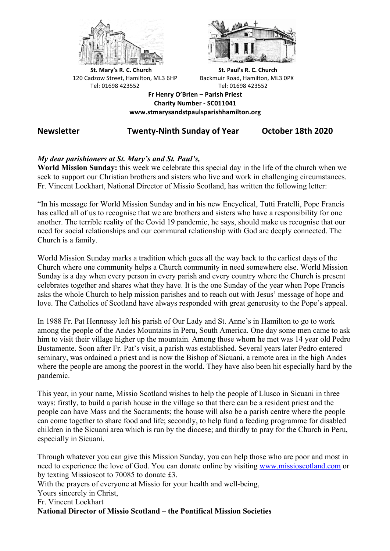



**St.** Mary's R. C. Church St. Paul's R. C. Church 120 Cadzow Street, Hamilton, ML3 6HP Backmuir Road, Hamilton, ML3 0PX Tel: 01698 423552 Tel: 01698 423552

**Fr Henry O'Brien – Parish Priest Charity Number - SC011041 www.stmarysandstpaulsparishhamilton.org**

# **Newsletter Twenty-Ninth Sunday of Year October 18th 2020**

# *My dear parishioners at St. Mary's and St. Paul's,*

**World Mission Sunday:** this week we celebrate this special day in the life of the church when we seek to support our Christian brothers and sisters who live and work in challenging circumstances. Fr. Vincent Lockhart, National Director of Missio Scotland, has written the following letter:

"In his message for World Mission Sunday and in his new Encyclical, Tutti Fratelli, Pope Francis has called all of us to recognise that we are brothers and sisters who have a responsibility for one another. The terrible reality of the Covid 19 pandemic, he says, should make us recognise that our need for social relationships and our communal relationship with God are deeply connected. The Church is a family.

World Mission Sunday marks a tradition which goes all the way back to the earliest days of the Church where one community helps a Church community in need somewhere else. World Mission Sunday is a day when every person in every parish and every country where the Church is present celebrates together and shares what they have. It is the one Sunday of the year when Pope Francis asks the whole Church to help mission parishes and to reach out with Jesus' message of hope and love. The Catholics of Scotland have always responded with great generosity to the Pope's appeal.

In 1988 Fr. Pat Hennessy left his parish of Our Lady and St. Anne's in Hamilton to go to work among the people of the Andes Mountains in Peru, South America. One day some men came to ask him to visit their village higher up the mountain. Among those whom he met was 14 year old Pedro Bustamente. Soon after Fr. Pat's visit, a parish was established. Several years later Pedro entered seminary, was ordained a priest and is now the Bishop of Sicuani, a remote area in the high Andes where the people are among the poorest in the world. They have also been hit especially hard by the pandemic.

This year, in your name, Missio Scotland wishes to help the people of Llusco in Sicuani in three ways: firstly, to build a parish house in the village so that there can be a resident priest and the people can have Mass and the Sacraments; the house will also be a parish centre where the people can come together to share food and life; secondly, to help fund a feeding programme for disabled children in the Sicuani area which is run by the diocese; and thirdly to pray for the Church in Peru, especially in Sicuani.

Through whatever you can give this Mission Sunday, you can help those who are poor and most in need to experience the love of God. You can donate online by visiting www.missioscotland.com or by texting Missioscot to 70085 to donate £3.

With the prayers of everyone at Missio for your health and well-being.

Yours sincerely in Christ,

Fr. Vincent Lockhart

**National Director of Missio Scotland – the Pontifical Mission Societies**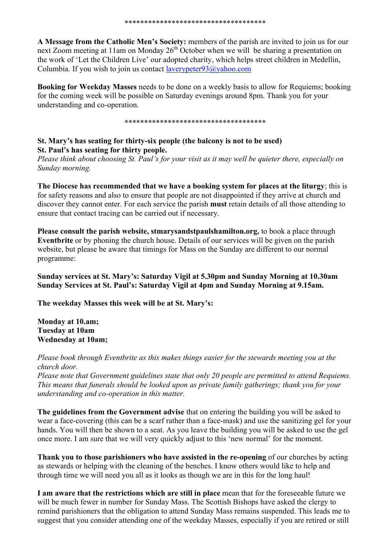**A Message from the Catholic Men's Society:** members of the parish are invited to join us for our next Zoom meeting at 11am on Monday  $26<sup>th</sup>$  October when we will be sharing a presentation on the work of 'Let the Children Live' our adopted charity, which helps street children in Medellin, Columbia. If you wish to join us contact laverypeter93@yahoo.com

**Booking for Weekday Masses** needs to be done on a weekly basis to allow for Requiems; booking for the coming week will be possible on Saturday evenings around 8pm. Thank you for your understanding and co-operation.

### \*\*\*\*\*\*\*\*\*\*\*\*\*\*\*\*\*\*\*\*\*\*\*\*\*\*\*\*\*\*\*\*\*\*\*\*

## **St. Mary's has seating for thirty-six people (the balcony is not to be used) St. Paul's has seating for thirty people.**

*Please think about choosing St. Paul's for your visit as it may well be quieter there, especially on Sunday morning.*

**The Diocese has recommended that we have a booking system for places at the liturgy**; this is for safety reasons and also to ensure that people are not disappointed if they arrive at church and discover they cannot enter. For each service the parish **must** retain details of all those attending to ensure that contact tracing can be carried out if necessary.

**Please consult the parish website, stmarysandstpaulshamilton.org,** to book a place through **Eventbrite** or by phoning the church house. Details of our services will be given on the parish website, but please be aware that timings for Mass on the Sunday are different to our normal programme:

**Sunday services at St. Mary's: Saturday Vigil at 5.30pm and Sunday Morning at 10.30am Sunday Services at St. Paul's: Saturday Vigil at 4pm and Sunday Morning at 9.15am.**

**The weekday Masses this week will be at St. Mary's:**

**Monday at 10.am; Tuesday at 10am Wednesday at 10am;** 

*Please book through Eventbrite as this makes things easier for the stewards meeting you at the church door.*

*Please note that Government guidelines state that only 20 people are permitted to attend Requiems. This means that funerals should be looked upon as private family gatherings; thank you for your understanding and co-operation in this matter.*

**The guidelines from the Government advise** that on entering the building you will be asked to wear a face-covering (this can be a scarf rather than a face-mask) and use the sanitizing gel for your hands. You will then be shown to a seat. As you leave the building you will be asked to use the gel once more. I am sure that we will very quickly adjust to this 'new normal' for the moment.

**Thank you to those parishioners who have assisted in the re-opening** of our churches by acting as stewards or helping with the cleaning of the benches. I know others would like to help and through time we will need you all as it looks as though we are in this for the long haul!

**I am aware that the restrictions which are still in place** mean that for the foreseeable future we will be much fewer in number for Sunday Mass. The Scottish Bishops have asked the clergy to remind parishioners that the obligation to attend Sunday Mass remains suspended. This leads me to suggest that you consider attending one of the weekday Masses, especially if you are retired or still